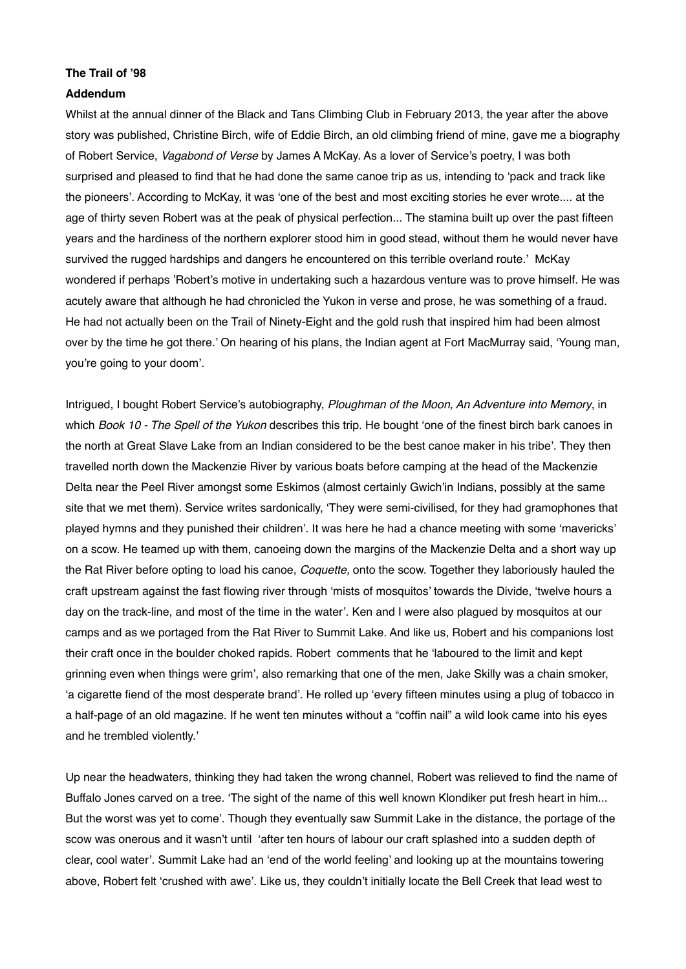## **The Trail of '98**

## **Addendum**

Whilst at the annual dinner of the Black and Tans Climbing Club in February 2013, the year after the above story was published, Christine Birch, wife of Eddie Birch, an old climbing friend of mine, gave me a biography of Robert Service, *Vagabond of Verse* by James A McKay. As a lover of Service's poetry, I was both surprised and pleased to find that he had done the same canoe trip as us, intending to 'pack and track like the pioneers'. According to McKay, it was 'one of the best and most exciting stories he ever wrote.... at the age of thirty seven Robert was at the peak of physical perfection... The stamina built up over the past fifteen years and the hardiness of the northern explorer stood him in good stead, without them he would never have survived the rugged hardships and dangers he encountered on this terrible overland route.' McKay wondered if perhaps 'Robert's motive in undertaking such a hazardous venture was to prove himself. He was acutely aware that although he had chronicled the Yukon in verse and prose, he was something of a fraud. He had not actually been on the Trail of Ninety-Eight and the gold rush that inspired him had been almost over by the time he got there.' On hearing of his plans, the Indian agent at Fort MacMurray said, 'Young man, you're going to your doom'.

Intrigued, I bought Robert Service's autobiography, *Ploughman of the Moon, An Adventure into Memory*, in which *Book 10 - The Spell of the Yukon* describes this trip. He bought 'one of the finest birch bark canoes in the north at Great Slave Lake from an Indian considered to be the best canoe maker in his tribe'. They then travelled north down the Mackenzie River by various boats before camping at the head of the Mackenzie Delta near the Peel River amongst some Eskimos (almost certainly Gwich'in Indians, possibly at the same site that we met them). Service writes sardonically, 'They were semi-civilised, for they had gramophones that played hymns and they punished their children'. It was here he had a chance meeting with some 'mavericks' on a scow. He teamed up with them, canoeing down the margins of the Mackenzie Delta and a short way up the Rat River before opting to load his canoe, *Coquette,* onto the scow. Together they laboriously hauled the craft upstream against the fast flowing river through 'mists of mosquitos' towards the Divide, 'twelve hours a day on the track-line, and most of the time in the water'. Ken and I were also plagued by mosquitos at our camps and as we portaged from the Rat River to Summit Lake. And like us, Robert and his companions lost their craft once in the boulder choked rapids. Robert comments that he 'laboured to the limit and kept grinning even when things were grim', also remarking that one of the men, Jake Skilly was a chain smoker, 'a cigarette fiend of the most desperate brand'. He rolled up 'every fifteen minutes using a plug of tobacco in a half-page of an old magazine. If he went ten minutes without a "coffin nail" a wild look came into his eyes and he trembled violently.'

Up near the headwaters, thinking they had taken the wrong channel, Robert was relieved to find the name of Buffalo Jones carved on a tree. 'The sight of the name of this well known Klondiker put fresh heart in him... But the worst was yet to come'. Though they eventually saw Summit Lake in the distance, the portage of the scow was onerous and it wasn't until 'after ten hours of labour our craft splashed into a sudden depth of clear, cool water'. Summit Lake had an 'end of the world feeling' and looking up at the mountains towering above, Robert felt 'crushed with awe'. Like us, they couldn't initially locate the Bell Creek that lead west to